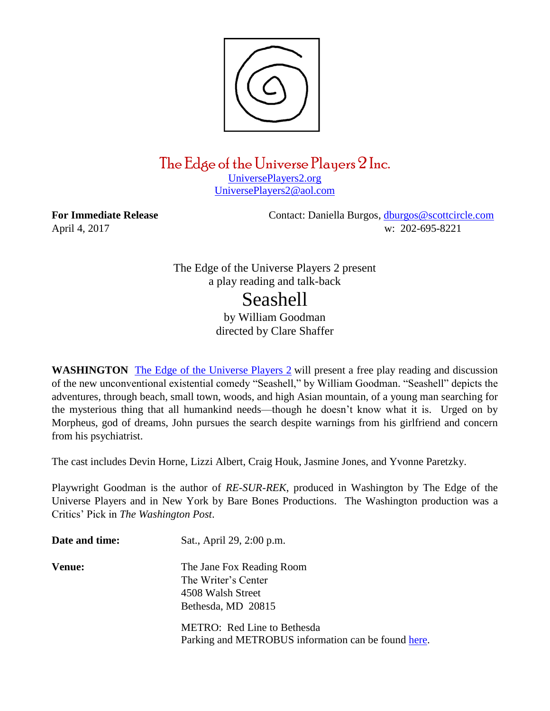

## The Edge of the Universe Players 2 Inc.

[UniversePlayers2.org](http://universeplayers2.org/wp/) [UniversePlayers2@aol.com](mailto:UniversePlayers2@aol.com)

**For Immediate Release Contact: Daniella Burgos, [dburgos@scottcircle.com](mailto:dburgos@scottcircle.com)** April 4, 2017 w: 202-695-8221

> The Edge of the Universe Players 2 present a play reading and talk-back

## Seashell

by William Goodman directed by Clare Shaffer

**WASHINGTON** The Edge of the [Universe](http://www.universeplayers2.org/wp/) Players 2 will present a free play reading and discussion of the new unconventional existential comedy "Seashell," by William Goodman. "Seashell" depicts the adventures, through beach, small town, woods, and high Asian mountain, of a young man searching for the mysterious thing that all humankind needs—though he doesn't know what it is. Urged on by Morpheus, god of dreams, John pursues the search despite warnings from his girlfriend and concern from his psychiatrist.

The cast includes Devin Horne, Lizzi Albert, Craig Houk, Jasmine Jones, and Yvonne Paretzky.

Playwright Goodman is the author of *RE-SUR-REK*, produced in Washington by The Edge of the Universe Players and in New York by Bare Bones Productions. The Washington production was a Critics' Pick in *The Washington Post*.

| Date and time: | Sat., April 29, 2:00 p.m.                           |
|----------------|-----------------------------------------------------|
| <b>Venue:</b>  | The Jane Fox Reading Room                           |
|                | The Writer's Center                                 |
|                | 4508 Walsh Street                                   |
|                | Bethesda, MD 20815                                  |
|                | METRO: Red Line to Bethesda                         |
|                | Parking and METROBUS information can be found here. |